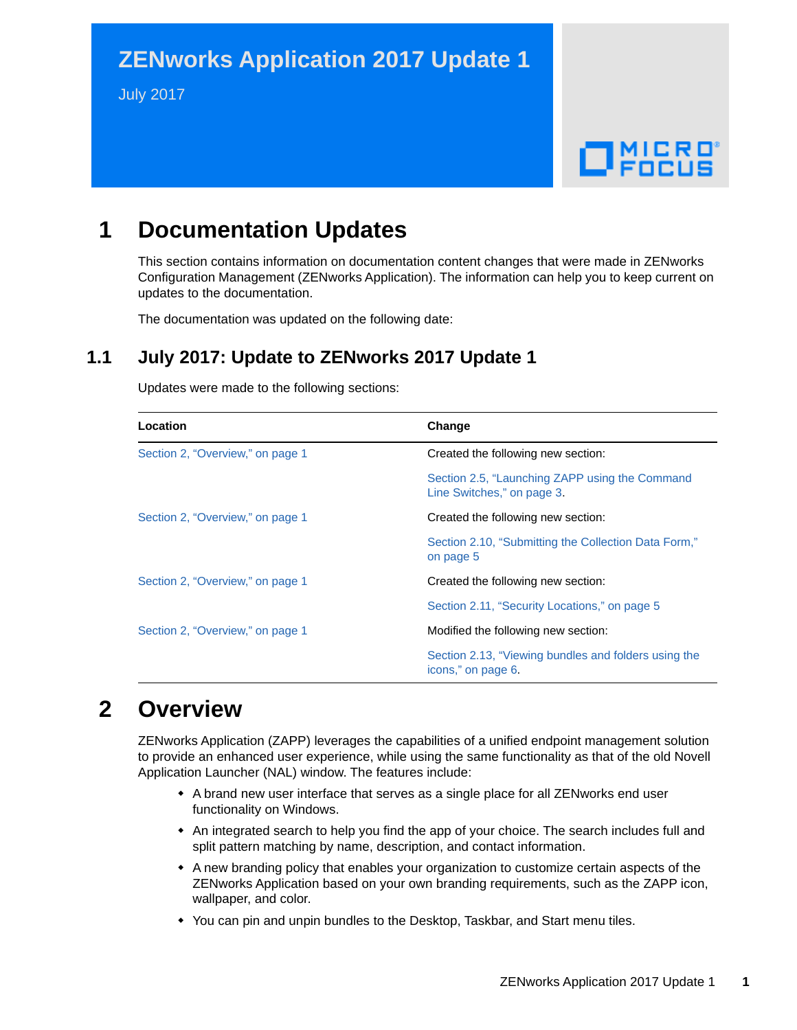# **ZENworks Application 2017 Update 1**

July 2017

# $\Box$ Pocus

# **1 Documentation Updates**

This section contains information on documentation content changes that were made in ZENworks Configuration Management (ZENworks Application). The information can help you to keep current on updates to the documentation.

The documentation was updated on the following date:

#### **1.1 July 2017: Update to ZENworks 2017 Update 1**

| Location                         | Change                                                                       |
|----------------------------------|------------------------------------------------------------------------------|
| Section 2, "Overview," on page 1 | Created the following new section:                                           |
|                                  | Section 2.5, "Launching ZAPP using the Command<br>Line Switches," on page 3. |
| Section 2, "Overview," on page 1 | Created the following new section:                                           |
|                                  | Section 2.10, "Submitting the Collection Data Form,"<br>on page 5            |
| Section 2, "Overview," on page 1 | Created the following new section:                                           |
|                                  | Section 2.11, "Security Locations," on page 5                                |
| Section 2, "Overview," on page 1 | Modified the following new section:                                          |
|                                  | Section 2.13, "Viewing bundles and folders using the<br>icons," on page 6.   |

Updates were made to the following sections:

## <span id="page-0-0"></span>**2 Overview**

ZENworks Application (ZAPP) leverages the capabilities of a unified endpoint management solution to provide an enhanced user experience, while using the same functionality as that of the old Novell Application Launcher (NAL) window. The features include:

- A brand new user interface that serves as a single place for all ZENworks end user functionality on Windows.
- An integrated search to help you find the app of your choice. The search includes full and split pattern matching by name, description, and contact information.
- A new branding policy that enables your organization to customize certain aspects of the ZENworks Application based on your own branding requirements, such as the ZAPP icon, wallpaper, and color.
- You can pin and unpin bundles to the Desktop, Taskbar, and Start menu tiles.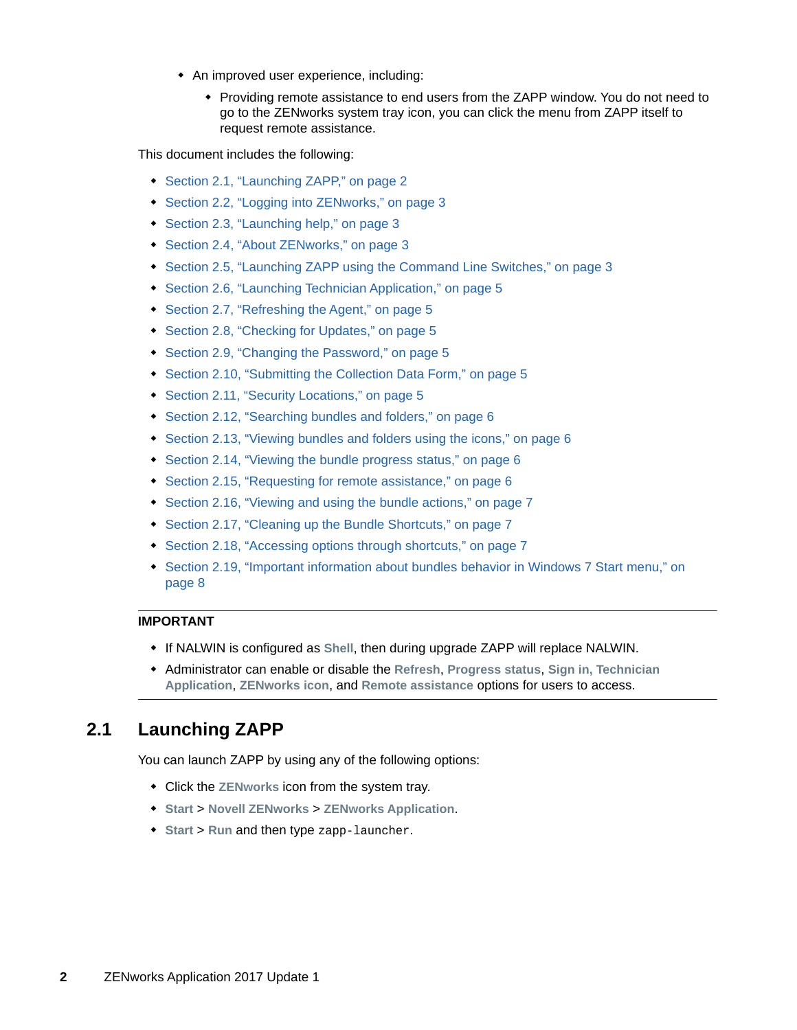- An improved user experience, including:
	- Providing remote assistance to end users from the ZAPP window. You do not need to go to the ZENworks system tray icon, you can click the menu from ZAPP itself to request remote assistance.

This document includes the following:

- [Section 2.1, "Launching ZAPP," on page 2](#page-1-0)
- [Section 2.2, "Logging into ZENworks," on page 3](#page-2-1)
- [Section 2.3, "Launching help," on page 3](#page-2-2)
- [Section 2.4, "About ZENworks," on page 3](#page-2-3)
- [Section 2.5, "Launching ZAPP using the Command Line Switches," on page 3](#page-2-0)
- [Section 2.6, "Launching Technician Application," on page 5](#page-4-2)
- [Section 2.7, "Refreshing the Agent," on page 5](#page-4-3)
- [Section 2.8, "Checking for Updates," on page 5](#page-4-4)
- [Section 2.9, "Changing the Password," on page 5](#page-4-5)
- [Section 2.10, "Submitting the Collection Data Form," on page 5](#page-4-0)
- [Section 2.11, "Security Locations," on page 5](#page-4-1)
- [Section 2.12, "Searching bundles and folders," on page 6](#page-5-1)
- [Section 2.13, "Viewing bundles and folders using the icons," on page 6](#page-5-0)
- [Section 2.14, "Viewing the bundle progress status," on page 6](#page-5-2)
- [Section 2.15, "Requesting for remote assistance," on page 6](#page-5-3)
- [Section 2.16, "Viewing and using the bundle actions," on page 7](#page-6-0)
- [Section 2.17, "Cleaning up the Bundle Shortcuts," on page 7](#page-6-2)
- [Section 2.18, "Accessing options through shortcuts," on page 7](#page-6-1)
- [Section 2.19, "Important information about bundles behavior in Windows 7 Start menu," on](#page-7-0)  [page 8](#page-7-0)

#### **IMPORTANT**

- If NALWIN is configured as **Shell**, then during upgrade ZAPP will replace NALWIN.
- Administrator can enable or disable the **Refresh**, **Progress status**, **Sign in, Technician Application**, **ZENworks icon**, and **Remote assistance** options for users to access.

#### <span id="page-1-0"></span>**2.1 Launching ZAPP**

You can launch ZAPP by using any of the following options:

- Click the **ZENworks** icon from the system tray.
- **Start** > **Novell ZENworks** > **ZENworks Application**.
- **Start** > **Run** and then type zapp-launcher.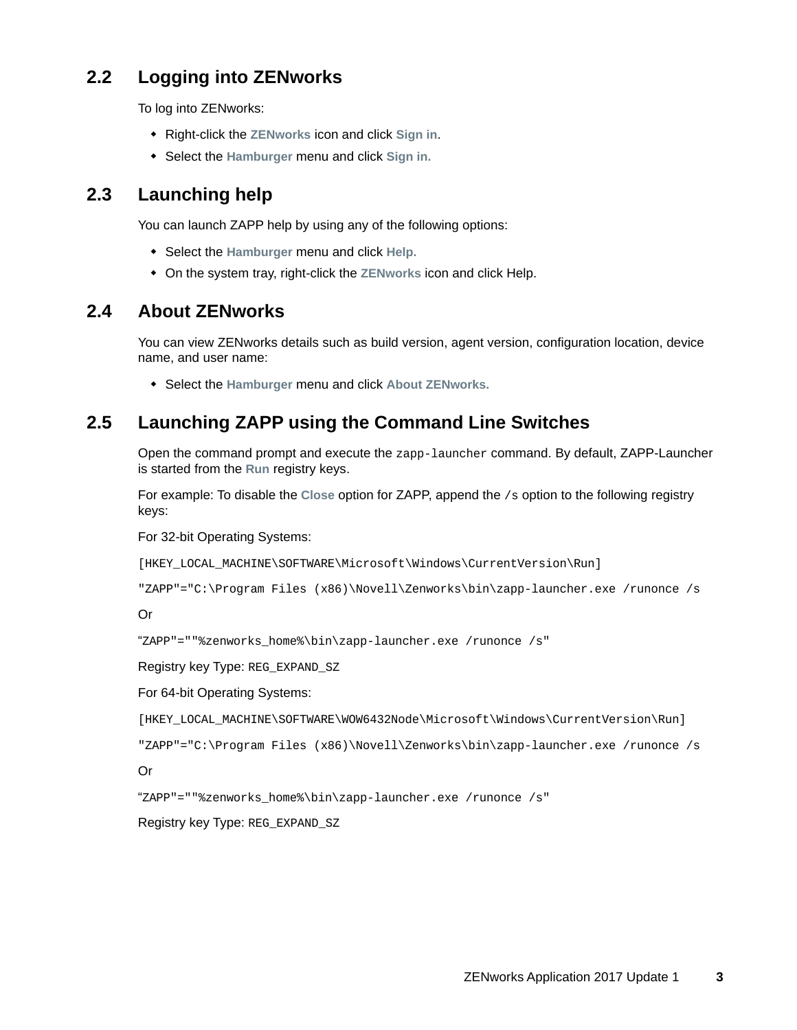## <span id="page-2-1"></span>**2.2 Logging into ZENworks**

To log into ZENworks:

- Right-click the **ZENworks** icon and click **Sign in**.
- Select the **Hamburger** menu and click **Sign in.**

## <span id="page-2-2"></span>**2.3 Launching help**

You can launch ZAPP help by using any of the following options:

- Select the **Hamburger** menu and click **Help.**
- On the system tray, right-click the **ZENworks** icon and click Help.

#### <span id="page-2-3"></span>**2.4 About ZENworks**

You can view ZENworks details such as build version, agent version, configuration location, device name, and user name:

Select the **Hamburger** menu and click **About ZENworks.**

## <span id="page-2-0"></span>**2.5 Launching ZAPP using the Command Line Switches**

Open the command prompt and execute the zapp-launcher command. By default, ZAPP-Launcher is started from the **Run** registry keys.

For example: To disable the **Close** option for ZAPP, append the /s option to the following registry keys:

For 32-bit Operating Systems:

[HKEY\_LOCAL\_MACHINE\SOFTWARE\Microsoft\Windows\CurrentVersion\Run]

```
"ZAPP"="C:\Program Files (x86)\Novell\Zenworks\bin\zapp-launcher.exe /runonce /s
```
#### Or

```
"ZAPP"=""%zenworks_home%\bin\zapp-launcher.exe /runonce /s"
```
Registry key Type: REG\_EXPAND\_SZ

#### For 64-bit Operating Systems:

```
[HKEY_LOCAL_MACHINE\SOFTWARE\WOW6432Node\Microsoft\Windows\CurrentVersion\Run]
```

```
"ZAPP"="C:\Program Files (x86)\Novell\Zenworks\bin\zapp-launcher.exe /runonce /s
```
#### Or

"ZAPP"=""%zenworks\_home%\bin\zapp-launcher.exe /runonce /s"

Registry key Type: REG\_EXPAND\_SZ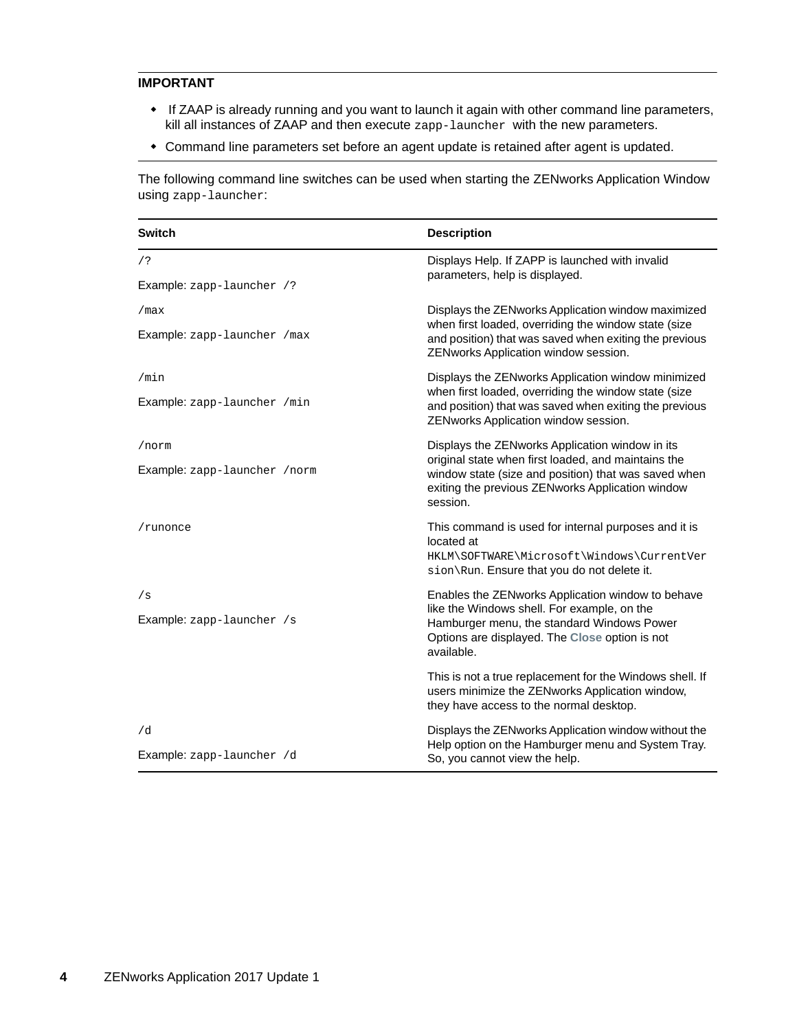#### **IMPORTANT**

- If ZAAP is already running and you want to launch it again with other command line parameters, kill all instances of ZAAP and then execute zapp-launcher with the new parameters.
- Command line parameters set before an agent update is retained after agent is updated.

The following command line switches can be used when starting the ZENworks Application Window using zapp-launcher:

| <b>Switch</b>                 | <b>Description</b>                                                                                                                                                          |
|-------------------------------|-----------------------------------------------------------------------------------------------------------------------------------------------------------------------------|
| $/$ ?                         | Displays Help. If ZAPP is launched with invalid<br>parameters, help is displayed.                                                                                           |
| Example: zapp-launcher /?     |                                                                                                                                                                             |
| /max                          | Displays the ZENworks Application window maximized                                                                                                                          |
| Example: zapp-launcher /max   | when first loaded, overriding the window state (size<br>and position) that was saved when exiting the previous<br>ZENworks Application window session.                      |
| /min                          | Displays the ZENworks Application window minimized                                                                                                                          |
| Example: zapp-launcher /min   | when first loaded, overriding the window state (size<br>and position) that was saved when exiting the previous<br>ZENworks Application window session.                      |
| /norm                         | Displays the ZENworks Application window in its                                                                                                                             |
| Example: zapp-launcher / norm | original state when first loaded, and maintains the<br>window state (size and position) that was saved when<br>exiting the previous ZENworks Application window<br>session. |
| /runonce                      | This command is used for internal purposes and it is                                                                                                                        |
|                               | located at<br>HKLM\SOFTWARE\Microsoft\Windows\CurrentVer<br>sion\Run. Ensure that you do not delete it.                                                                     |
| /s                            | Enables the ZENworks Application window to behave                                                                                                                           |
| Example: zapp-launcher /s     | like the Windows shell. For example, on the<br>Hamburger menu, the standard Windows Power<br>Options are displayed. The Close option is not<br>available.                   |
|                               | This is not a true replacement for the Windows shell. If<br>users minimize the ZENworks Application window,<br>they have access to the normal desktop.                      |
| /d                            | Displays the ZENworks Application window without the<br>Help option on the Hamburger menu and System Tray.                                                                  |
| Example: zapp-launcher /d     | So, you cannot view the help.                                                                                                                                               |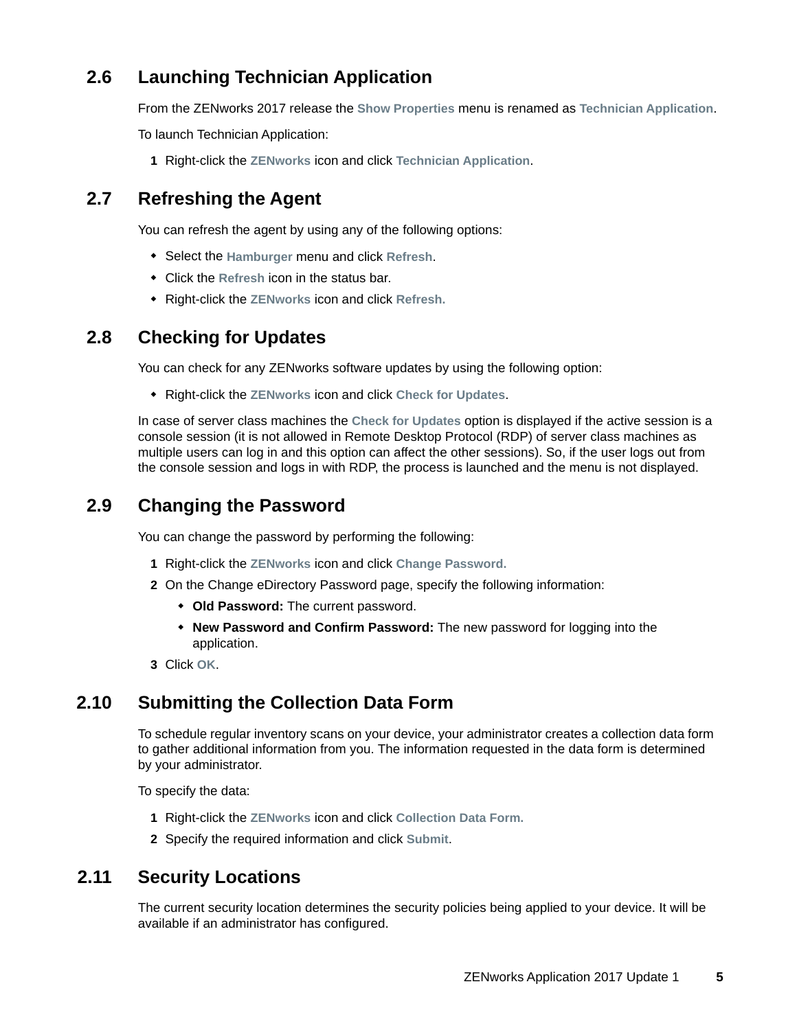## <span id="page-4-2"></span>**2.6 Launching Technician Application**

From the ZENworks 2017 release the **Show Properties** menu is renamed as **Technician Application**.

To launch Technician Application:

**1** Right-click the **ZENworks** icon and click **Technician Application**.

#### <span id="page-4-3"></span>**2.7 Refreshing the Agent**

You can refresh the agent by using any of the following options:

- Select the **Hamburger** menu and click **Refresh**.
- Click the **Refresh** icon in the status bar.
- Right-click the **ZENworks** icon and click **Refresh.**

#### <span id="page-4-4"></span>**2.8 Checking for Updates**

You can check for any ZENworks software updates by using the following option:

Right-click the **ZENworks** icon and click **Check for Updates**.

In case of server class machines the **Check for Updates** option is displayed if the active session is a console session (it is not allowed in Remote Desktop Protocol (RDP) of server class machines as multiple users can log in and this option can affect the other sessions). So, if the user logs out from the console session and logs in with RDP, the process is launched and the menu is not displayed.

#### <span id="page-4-5"></span>**2.9 Changing the Password**

You can change the password by performing the following:

- **1** Right-click the **ZENworks** icon and click **Change Password.**
- **2** On the Change eDirectory Password page, specify the following information:
	- **Old Password:** The current password.
	- **New Password and Confirm Password:** The new password for logging into the application.
- **3** Click **OK**.

#### <span id="page-4-0"></span>**2.10 Submitting the Collection Data Form**

To schedule regular inventory scans on your device, your administrator creates a collection data form to gather additional information from you. The information requested in the data form is determined by your administrator.

To specify the data:

- **1** Right-click the **ZENworks** icon and click **Collection Data Form.**
- **2** Specify the required information and click **Submit**.

#### <span id="page-4-1"></span>**2.11 Security Locations**

The current security location determines the security policies being applied to your device. It will be available if an administrator has configured.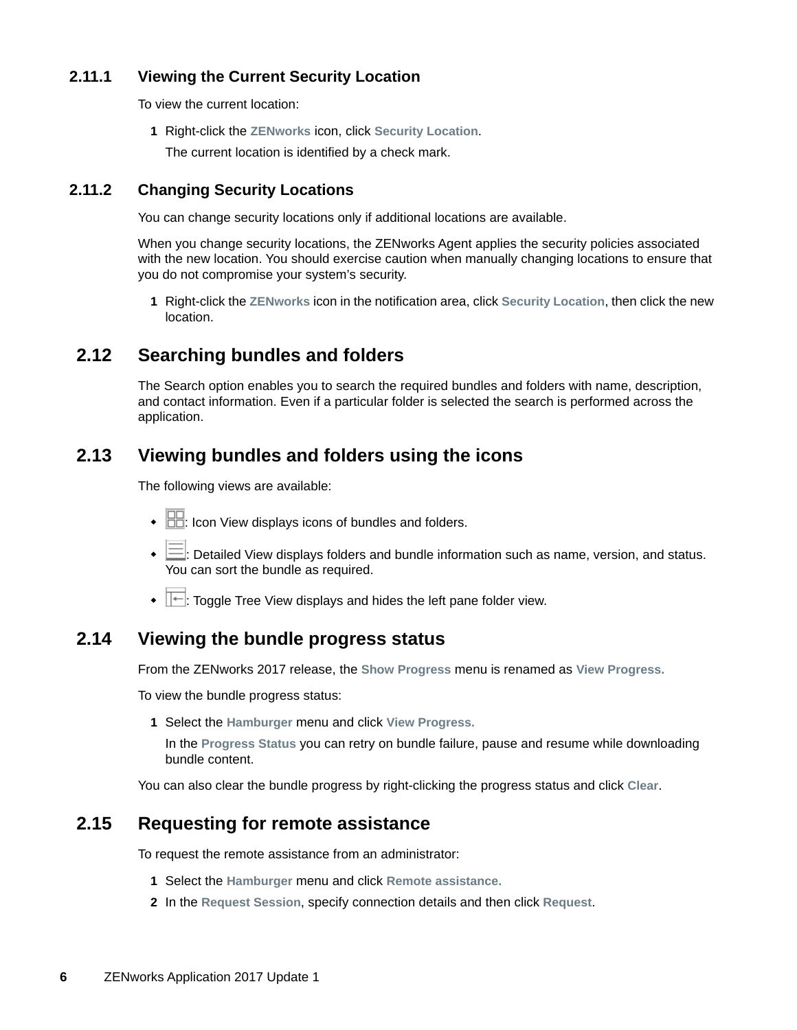#### **2.11.1 Viewing the Current Security Location**

To view the current location:

**1** Right-click the **ZENworks** icon, click **Security Location**.

The current location is identified by a check mark.

#### **2.11.2 Changing Security Locations**

You can change security locations only if additional locations are available.

When you change security locations, the ZENworks Agent applies the security policies associated with the new location. You should exercise caution when manually changing locations to ensure that you do not compromise your system's security.

**1** Right-click the **ZENworks** icon in the notification area, click **Security Location**, then click the new location.

#### <span id="page-5-1"></span>**2.12 Searching bundles and folders**

The Search option enables you to search the required bundles and folders with name, description, and contact information. Even if a particular folder is selected the search is performed across the application.

#### <span id="page-5-0"></span>**2.13 Viewing bundles and folders using the icons**

The following views are available:

- $\cdot$   $\boxed{\Box\Box}$ : Icon View displays icons of bundles and folders.
- $\cdot \equiv$  Detailed View displays folders and bundle information such as name, version, and status. You can sort the bundle as required.
- $\bullet$   $\overline{\mathbb{H}}$ : Toggle Tree View displays and hides the left pane folder view.

#### <span id="page-5-2"></span>**2.14 Viewing the bundle progress status**

From the ZENworks 2017 release, the **Show Progress** menu is renamed as **View Progress.**

To view the bundle progress status:

**1** Select the **Hamburger** menu and click **View Progress.**

In the **Progress Status** you can retry on bundle failure, pause and resume while downloading bundle content.

You can also clear the bundle progress by right-clicking the progress status and click **Clear**.

#### <span id="page-5-3"></span>**2.15 Requesting for remote assistance**

To request the remote assistance from an administrator:

- **1** Select the **Hamburger** menu and click **Remote assistance.**
- **2** In the **Request Session**, specify connection details and then click **Request**.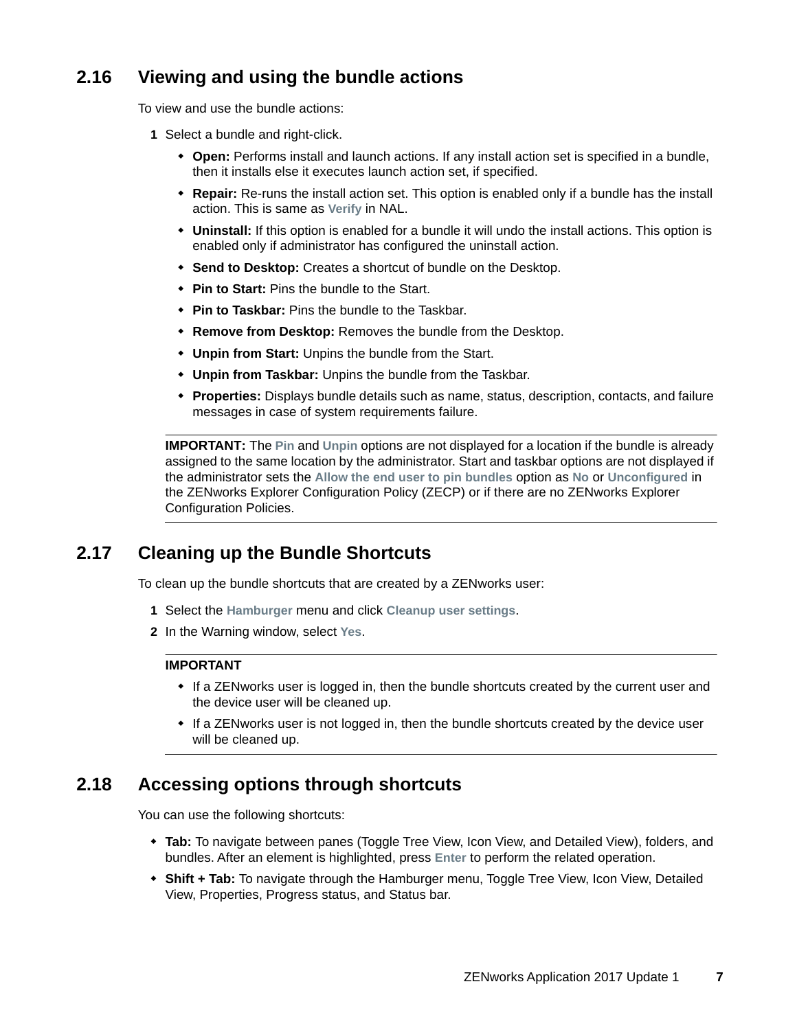## <span id="page-6-0"></span>**2.16 Viewing and using the bundle actions**

To view and use the bundle actions:

- **1** Select a bundle and right-click.
	- **Open:** Performs install and launch actions. If any install action set is specified in a bundle, then it installs else it executes launch action set, if specified.
	- **Repair:** Re-runs the install action set. This option is enabled only if a bundle has the install action. This is same as **Verify** in NAL.
	- **Uninstall:** If this option is enabled for a bundle it will undo the install actions. This option is enabled only if administrator has configured the uninstall action.
	- **Send to Desktop:** Creates a shortcut of bundle on the Desktop.
	- **Pin to Start:** Pins the bundle to the Start.
	- **Pin to Taskbar:** Pins the bundle to the Taskbar.
	- **Remove from Desktop:** Removes the bundle from the Desktop.
	- **Unpin from Start:** Unpins the bundle from the Start.
	- **Unpin from Taskbar:** Unpins the bundle from the Taskbar.
	- **Properties:** Displays bundle details such as name, status, description, contacts, and failure messages in case of system requirements failure.

**IMPORTANT:** The **Pin** and **Unpin** options are not displayed for a location if the bundle is already assigned to the same location by the administrator. Start and taskbar options are not displayed if the administrator sets the **Allow the end user to pin bundles** option as **No** or **Unconfigured** in the ZENworks Explorer Configuration Policy (ZECP) or if there are no ZENworks Explorer Configuration Policies.

#### <span id="page-6-2"></span>**2.17 Cleaning up the Bundle Shortcuts**

To clean up the bundle shortcuts that are created by a ZENworks user:

- **1** Select the **Hamburger** menu and click **Cleanup user settings**.
- **2** In the Warning window, select **Yes**.

#### **IMPORTANT**

- If a ZENworks user is logged in, then the bundle shortcuts created by the current user and the device user will be cleaned up.
- If a ZENworks user is not logged in, then the bundle shortcuts created by the device user will be cleaned up.

#### <span id="page-6-1"></span>**2.18 Accessing options through shortcuts**

You can use the following shortcuts:

- **Tab:** To navigate between panes (Toggle Tree View, Icon View, and Detailed View), folders, and bundles. After an element is highlighted, press **Enter** to perform the related operation.
- **Shift + Tab:** To navigate through the Hamburger menu, Toggle Tree View, Icon View, Detailed View, Properties, Progress status, and Status bar.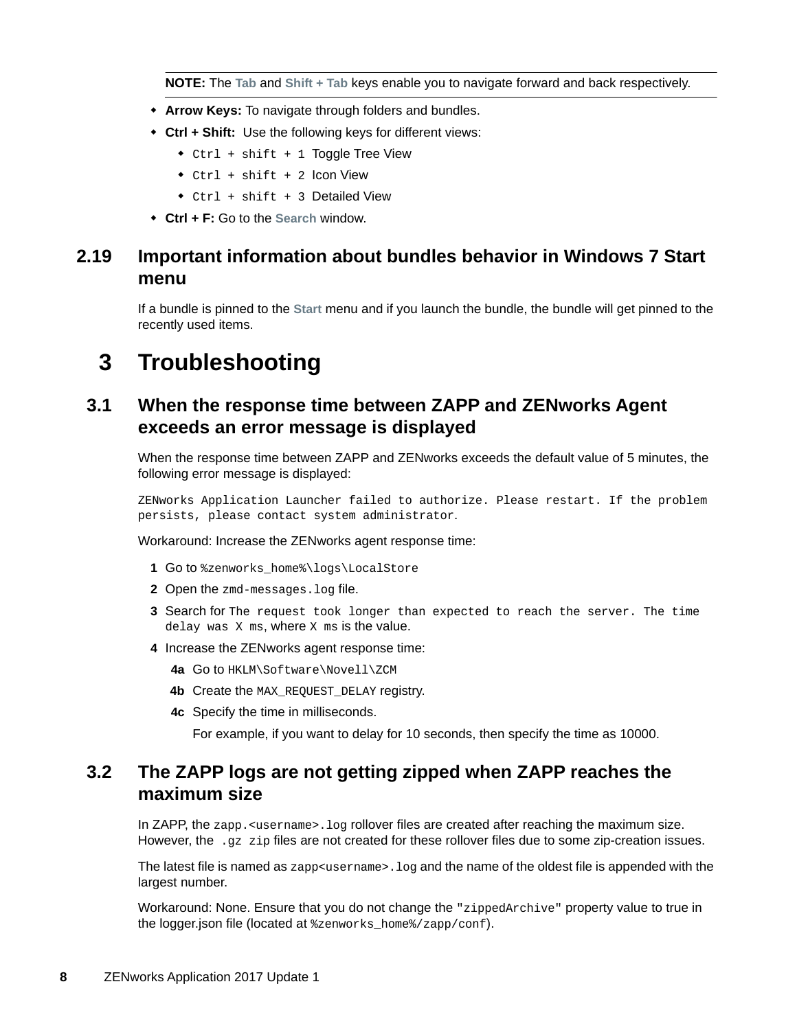**NOTE:** The **Tab** and **Shift + Tab** keys enable you to navigate forward and back respectively.

- **Arrow Keys:** To navigate through folders and bundles.
- **Ctrl + Shift:** Use the following keys for different views:
	- Ctrl + shift + 1 Toggle Tree View
	- Ctrl + shift + 2 Icon View
	- $\bullet$  Ctrl + shift + 3 Detailed View
- **Ctrl + F:** Go to the **Search** window.

## <span id="page-7-0"></span>**2.19 Important information about bundles behavior in Windows 7 Start menu**

If a bundle is pinned to the **Start** menu and if you launch the bundle, the bundle will get pinned to the recently used items.

# **3 Troubleshooting**

#### **3.1 When the response time between ZAPP and ZENworks Agent exceeds an error message is displayed**

When the response time between ZAPP and ZENworks exceeds the default value of 5 minutes, the following error message is displayed:

ZENworks Application Launcher failed to authorize. Please restart. If the problem persists, please contact system administrator.

Workaround: Increase the ZENworks agent response time:

- 1 Go to %zenworks\_home%\logs\LocalStore
- **2** Open the zmd-messages.log file.
- **3** Search for The request took longer than expected to reach the server. The time delay was X ms, where X ms is the value.
- **4** Increase the ZENworks agent response time:
	- **4a** Go to HKLM\Software\Novell\ZCM
	- **4b** Create the MAX\_REQUEST\_DELAY registry.
	- **4c** Specify the time in milliseconds.

For example, if you want to delay for 10 seconds, then specify the time as 10000.

#### **3.2 The ZAPP logs are not getting zipped when ZAPP reaches the maximum size**

In ZAPP, the zapp. <username>. log rollover files are created after reaching the maximum size. However, the  $\log z$  zip files are not created for these rollover files due to some zip-creation issues.

The latest file is named as  $z$ app<username>. log and the name of the oldest file is appended with the largest number.

Workaround: None. Ensure that you do not change the "zippedArchive" property value to true in the logger.json file (located at %zenworks\_home%/zapp/conf).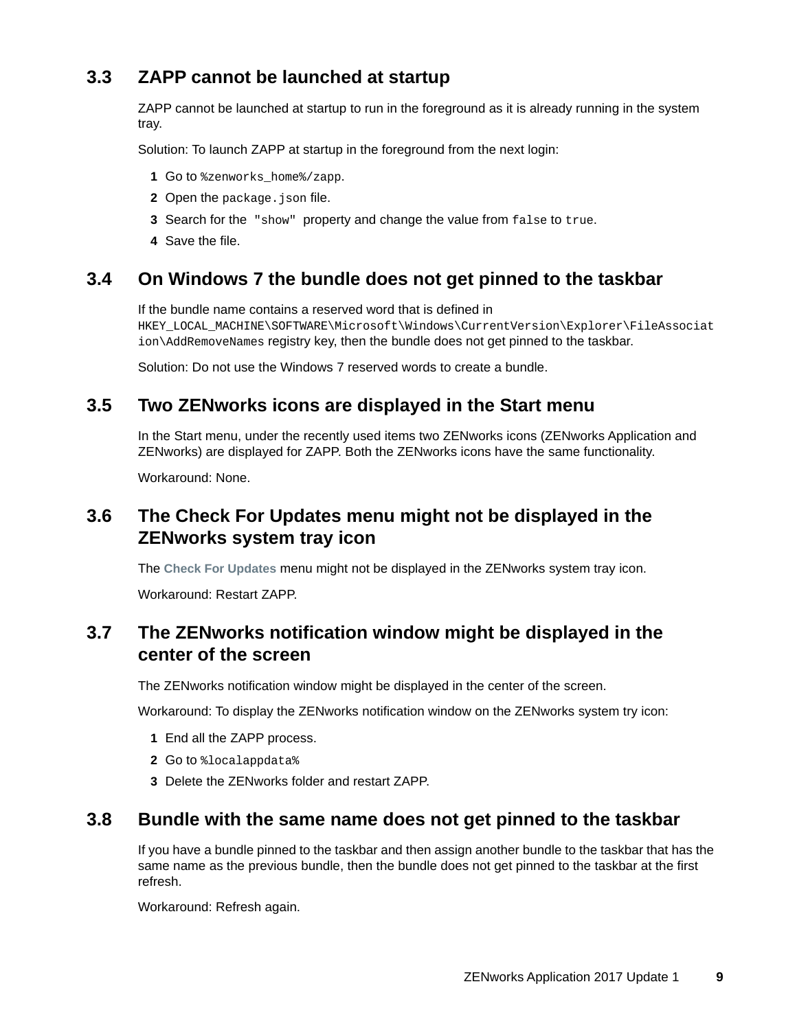## **3.3 ZAPP cannot be launched at startup**

ZAPP cannot be launched at startup to run in the foreground as it is already running in the system tray.

Solution: To launch ZAPP at startup in the foreground from the next login:

- **1** Go to %zenworks\_home%/zapp.
- **2** Open the package. json file.
- **3** Search for the "show" property and change the value from false to true.
- **4** Save the file.

#### **3.4 On Windows 7 the bundle does not get pinned to the taskbar**

If the bundle name contains a reserved word that is defined in

HKEY\_LOCAL\_MACHINE\SOFTWARE\Microsoft\Windows\CurrentVersion\Explorer\FileAssociat ion\AddRemoveNames registry key, then the bundle does not get pinned to the taskbar.

Solution: Do not use the Windows 7 reserved words to create a bundle.

#### **3.5 Two ZENworks icons are displayed in the Start menu**

In the Start menu, under the recently used items two ZENworks icons (ZENworks Application and ZENworks) are displayed for ZAPP. Both the ZENworks icons have the same functionality.

Workaround: None.

### **3.6 The Check For Updates menu might not be displayed in the ZENworks system tray icon**

The **Check For Updates** menu might not be displayed in the ZENworks system tray icon.

Workaround: Restart ZAPP.

#### **3.7 The ZENworks notification window might be displayed in the center of the screen**

The ZENworks notification window might be displayed in the center of the screen.

Workaround: To display the ZENworks notification window on the ZENworks system try icon:

- **1** End all the ZAPP process.
- **2** Go to %localappdata%
- **3** Delete the ZENworks folder and restart ZAPP.

#### **3.8 Bundle with the same name does not get pinned to the taskbar**

If you have a bundle pinned to the taskbar and then assign another bundle to the taskbar that has the same name as the previous bundle, then the bundle does not get pinned to the taskbar at the first refresh.

Workaround: Refresh again.